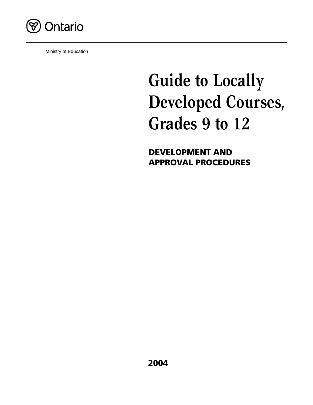

Ministry of Education

# **Guide to Locally Developed Courses, Grades 9 to 12**

**DEVELOPMENT AND APPROVAL PROCEDURES**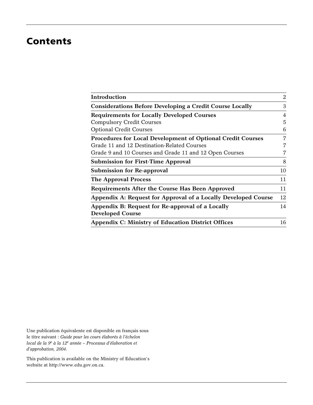# **Contents**

| Introduction                                                       | $\overline{2}$ |
|--------------------------------------------------------------------|----------------|
| <b>Considerations Before Developing a Credit Course Locally</b>    | 3              |
| <b>Requirements for Locally Developed Courses</b>                  | 4              |
| <b>Compulsory Credit Courses</b>                                   | 5              |
| <b>Optional Credit Courses</b>                                     | 6              |
| <b>Procedures for Local Development of Optional Credit Courses</b> | 7              |
| Grade 11 and 12 Destination-Related Courses                        | 7              |
| Grade 9 and 10 Courses and Grade 11 and 12 Open Courses            | 7              |
| <b>Submission for First-Time Approval</b>                          | 8              |
| <b>Submission for Re-approval</b>                                  | 10             |
| <b>The Approval Process</b>                                        | 11             |
| Requirements After the Course Has Been Approved                    | 11             |
| Appendix A: Request for Approval of a Locally Developed Course     | 12             |
| Appendix B: Request for Re-approval of a Locally                   | 14             |
| <b>Developed Course</b>                                            |                |
| <b>Appendix C: Ministry of Education District Offices</b>          | 16             |
|                                                                    |                |

Une publication équivalente est disponible en français sous le titre suivant : *Guide pour les cours élaborés à l'échelon local de la 9<sup>e</sup> à la 12<sup>e</sup> année – Processus d'élaboration et d'approbation, 2004*.

This publication is available on the Ministry of Education's website at http://www.edu.gov.on.ca.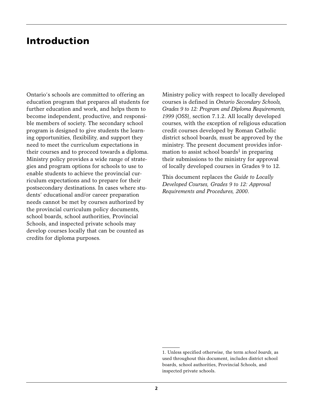## **Introduction**

Ontario's schools are committed to offering an education program that prepares all students for further education and work, and helps them to become independent, productive, and responsible members of society. The secondary school program is designed to give students the learning opportunities, flexibility, and support they need to meet the curriculum expectations in their courses and to proceed towards a diploma. Ministry policy provides a wide range of strategies and program options for schools to use to enable students to achieve the provincial curriculum expectations and to prepare for their postsecondary destinations. In cases where students' educational and/or career preparation needs cannot be met by courses authorized by the provincial curriculum policy documents, school boards, school authorities, Provincial Schools, and inspected private schools may develop courses locally that can be counted as credits for diploma purposes.

Ministry policy with respect to locally developed courses is defined in *Ontario Secondary Schools, Grades 9 to 12: Program and Diploma Requirements, 1999* (OSS), section 7.1.2. All locally developed courses, with the exception of religious education credit courses developed by Roman Catholic district school boards, must be approved by the ministry. The present document provides information to assist school boards<sup>1</sup> in preparing their submissions to the ministry for approval of locally developed courses in Grades 9 to 12.

This document replaces the *Guide to Locally Developed Courses, Grades 9 to 12: Approval Requirements and Procedures, 2000*.

<sup>1.</sup> Unless specified otherwise, the term *school boards*, as used throughout this document, includes district school boards, school authorities, Provincial Schools, and inspected private schools.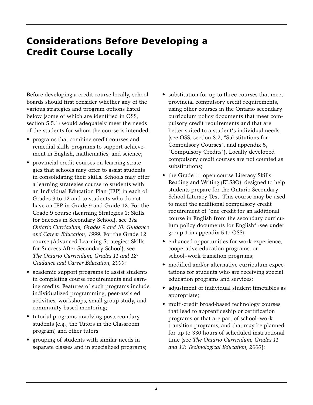# **Considerations Before Developing a Credit Course Locally**

Before developing a credit course locally, school boards should first consider whether any of the various strategies and program options listed below (some of which are identified in OSS, section 5.5.1) would adequately meet the needs of the students for whom the course is intended:

- programs that combine credit courses and remedial skills programs to support achievement in English, mathematics, and science;
- provincial credit courses on learning strategies that schools may offer to assist students in consolidating their skills. Schools may offer a learning strategies course to students with an Individual Education Plan (IEP) in each of Grades 9 to 12 and to students who do not have an IEP in Grade 9 and Grade 12. For the Grade 9 course (Learning Strategies 1: Skills for Success in Secondary School), see *The Ontario Curriculum, Grades 9 and 10: Guidance and Career Education, 1999*. For the Grade 12 course (Advanced Learning Strategies: Skills for Success After Secondary School), see *The Ontario Curriculum, Grades 11 and 12: Guidance and Career Education, 2000*;
- academic support programs to assist students in completing course requirements and earning credits. Features of such programs include individualized programming, peer-assisted activities, workshops, small-group study, and community-based mentoring;
- tutorial programs involving postsecondary students (e.g., the Tutors in the Classroom program) and other tutors;
- grouping of students with similar needs in separate classes and in specialized programs;
- substitution for up to three courses that meet provincial compulsory credit requirements, using other courses in the Ontario secondary curriculum policy documents that meet compulsory credit requirements and that are better suited to a student's individual needs (see OSS, section 3.2, "Substitutions for Compulsory Courses", and appendix 5, "Compulsory Credits"). Locally developed compulsory credit courses are not counted as substitutions;
- the Grade 11 open course Literacy Skills: Reading and Writing (ELS3O), designed to help students prepare for the Ontario Secondary School Literacy Test. This course may be used to meet the additional compulsory credit requirement of "one credit for an additional course in English from the secondary curriculum policy documents for English" (see under group 1 in appendix 5 to OSS);
- enhanced opportunities for work experience, cooperative education programs, or school–work transition programs;
- modified and/or alternative curriculum expectations for students who are receiving special education programs and services;
- adjustment of individual student timetables as appropriate;
- multi-credit broad-based technology courses that lead to apprenticeship or certification programs or that are part of school–work transition programs, and that may be planned for up to 330 hours of scheduled instructional time (see *The Ontario Curriculum, Grades 11 and 12: Technological Education, 2000*);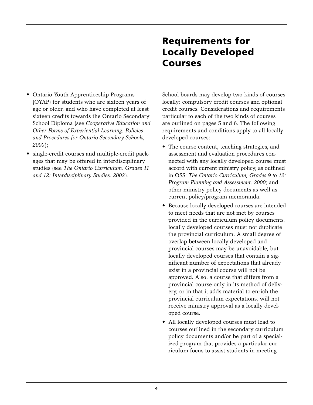# **Requirements for Locally Developed Courses**

- Ontario Youth Apprenticeship Programs (OYAP) for students who are sixteen years of age or older, and who have completed at least sixteen credits towards the Ontario Secondary School Diploma (see *Cooperative Education and Other Forms of Experiential Learning: Policies and Procedures for Ontario Secondary Schools, 2000*);
- single-credit courses and multiple-credit packages that may be offered in interdisciplinary studies (see *The Ontario Curriculum, Grades 11 and 12: Interdisciplinary Studies, 2002*).

School boards may develop two kinds of courses locally: compulsory credit courses and optional credit courses. Considerations and requirements particular to each of the two kinds of courses are outlined on pages 5 and 6. The following requirements and conditions apply to all locally developed courses:

- The course content, teaching strategies, and assessment and evaluation procedures connected with any locally developed course must accord with current ministry policy, as outlined in OSS; *The Ontario Curriculum, Grades 9 to 12: Program Planning and Assessment, 2000*; and other ministry policy documents as well as current policy/program memoranda.
- Because locally developed courses are intended to meet needs that are not met by courses provided in the curriculum policy documents, locally developed courses must not duplicate the provincial curriculum. A small degree of overlap between locally developed and provincial courses may be unavoidable, but locally developed courses that contain a significant number of expectations that already exist in a provincial course will not be approved. Also, a course that differs from a provincial course only in its method of delivery, or in that it adds material to enrich the provincial curriculum expectations, will not receive ministry approval as a locally developed course.
- All locally developed courses must lead to courses outlined in the secondary curriculum policy documents and/or be part of a specialized program that provides a particular curriculum focus to assist students in meeting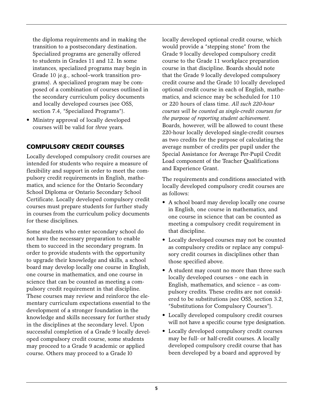the diploma requirements and in making the transition to a postsecondary destination. Specialized programs are generally offered to students in Grades 11 and 12. In some instances, specialized programs may begin in Grade 10 (e.g., school–work transition programs). A specialized program may be composed of a combination of courses outlined in the secondary curriculum policy documents and locally developed courses (see OSS, section 7.4, "Specialized Programs").

• Ministry approval of locally developed courses will be valid for *three* years.

### **COMPULSORY CREDIT COURSES**

Locally developed compulsory credit courses are intended for students who require a measure of flexibility and support in order to meet the compulsory credit requirements in English, mathematics, and science for the Ontario Secondary School Diploma or Ontario Secondary School Certificate. Locally developed compulsory credit courses must prepare students for further study in courses from the curriculum policy documents for these disciplines.

Some students who enter secondary school do not have the necessary preparation to enable them to succeed in the secondary program. In order to provide students with the opportunity to upgrade their knowledge and skills, a school board may develop locally one course in English, one course in mathematics, and one course in science that can be counted as meeting a compulsory credit requirement in that discipline. These courses may review and reinforce the elementary curriculum expectations essential to the development of a stronger foundation in the knowledge and skills necessary for further study in the disciplines at the secondary level. Upon successful completion of a Grade 9 locally developed compulsory credit course, some students may proceed to a Grade 9 academic or applied course. Others may proceed to a Grade l0

locally developed optional credit course, which would provide a "stepping stone" from the Grade 9 locally developed compulsory credit course to the Grade 11 workplace preparation course in that discipline. Boards should note that the Grade 9 locally developed compulsory credit course and the Grade 10 locally developed optional credit course in each of English, mathematics, and science may be scheduled for 110 or 220 hours of class time. *All such 220-hour courses will be counted as single-credit courses for the purpose of reporting student achievement*. Boards, however, will be allowed to count these 220-hour locally developed single-credit courses as two credits for the purpose of calculating the average number of credits per pupil under the Special Assistance for Average Per-Pupil Credit Load component of the Teacher Qualifications and Experience Grant.

The requirements and conditions associated with locally developed compulsory credit courses are as follows:

- A school board may develop locally one course in English, one course in mathematics, and one course in science that can be counted as meeting a compulsory credit requirement in that discipline.
- Locally developed courses may not be counted as compulsory credits or replace any compulsory credit courses in disciplines other than those specified above.
- A student may count no more than three such locally developed courses – one each in English, mathematics, and science – as compulsory credits. These credits are not considered to be substitutions (see OSS, section 3.2, "Substitutions for Compulsory Courses").
- Locally developed compulsory credit courses will not have a specific course type designation.
- Locally developed compulsory credit courses may be full- or half-credit courses. A locally developed compulsory credit course that has been developed by a board and approved by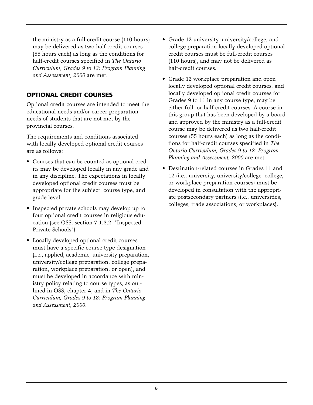the ministry as a full-credit course (110 hours) may be delivered as two half-credit courses (55 hours each) as long as the conditions for half-credit courses specified in *The Ontario Curriculum, Grades 9 to 12: Program Planning and Assessment, 2000* are met.

### **OPTIONAL CREDIT COURSES**

Optional credit courses are intended to meet the educational needs and/or career preparation needs of students that are not met by the provincial courses.

The requirements and conditions associated with locally developed optional credit courses are as follows:

- Courses that can be counted as optional credits may be developed locally in any grade and in any discipline. The expectations in locally developed optional credit courses must be appropriate for the subject, course type, and grade level.
- Inspected private schools may develop up to four optional credit courses in religious education (see OSS, section 7.1.3.2, "Inspected Private Schools").
- Locally developed optional credit courses must have a specific course type designation (i.e., applied, academic, university preparation, university/college preparation, college preparation, workplace preparation, or open), and must be developed in accordance with ministry policy relating to course types, as outlined in OSS, chapter 4, and in *The Ontario Curriculum, Grades 9 to 12: Program Planning and Assessment, 2000*.
- Grade 12 university, university/college, and college preparation locally developed optional credit courses must be full-credit courses (110 hours), and may not be delivered as half-credit courses.
- Grade 12 workplace preparation and open locally developed optional credit courses, and locally developed optional credit courses for Grades 9 to 11 in any course type, may be either full- or half-credit courses. A course in this group that has been developed by a board and approved by the ministry as a full-credit course may be delivered as two half-credit courses (55 hours each) as long as the conditions for half-credit courses specified in *The Ontario Curriculum, Grades 9 to 12: Program Planning and Assessment, 2000* are met.
- Destination-related courses in Grades 11 and 12 (i.e., university, university/college, college, or workplace preparation courses) must be developed in consultation with the appropriate postsecondary partners (i.e., universities, colleges, trade associations, or workplaces).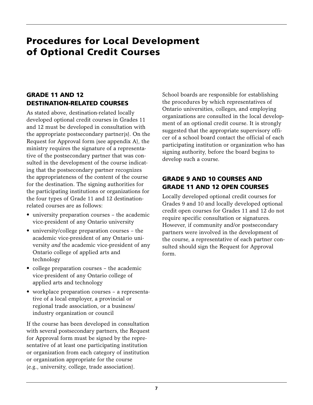# **Procedures for Local Development of Optional Credit Courses**

### **GRADE 11 AND 12 DESTINATION-RELATED COURSES**

As stated above, destination-related locally developed optional credit courses in Grades 11 and 12 must be developed in consultation with the appropriate postsecondary partner(s). On the Request for Approval form (see appendix A), the ministry requires the signature of a representative of the postsecondary partner that was consulted in the development of the course indicating that the postsecondary partner recognizes the appropriateness of the content of the course for the destination. The signing authorities for the participating institutions or organizations for the four types of Grade 11 and 12 destinationrelated courses are as follows:

- university preparation courses the academic vice-president of any Ontario university
- university/college preparation courses the academic vice-president of any Ontario university *and* the academic vice-president of any Ontario college of applied arts and technology
- college preparation courses the academic vice-president of any Ontario college of applied arts and technology
- workplace preparation courses a representative of a local employer, a provincial or regional trade association, or a business/ industry organization or council

If the course has been developed in consultation with several postsecondary partners, the Request for Approval form must be signed by the representative of at least one participating institution or organization from each category of institution or organization appropriate for the course (e.g., university, college, trade association).

School boards are responsible for establishing the procedures by which representatives of Ontario universities, colleges, and employing organizations are consulted in the local development of an optional credit course. It is strongly suggested that the appropriate supervisory officer of a school board contact the official of each participating institution or organization who has signing authority, before the board begins to develop such a course.

### **GRADE 9 AND 10 COURSES AND GRADE 11 AND 12 OPEN COURSES**

Locally developed optional credit courses for Grades 9 and 10 and locally developed optional credit open courses for Grades 11 and 12 do not require specific consultation or signatures. However, if community and/or postsecondary partners were involved in the development of the course, a representative of each partner consulted should sign the Request for Approval form.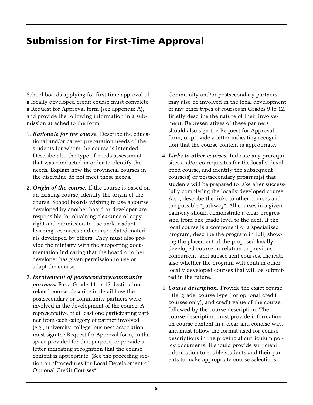# **Submission for First-Time Approval**

School boards applying for first-time approval of a locally developed credit course must complete a Request for Approval form (see appendix A), and provide the following information in a submission attached to the form:

- 1. *Rationale for the course.* Describe the educational and/or career preparation needs of the students for whom the course is intended. Describe also the type of needs assessment that was conducted in order to identify the needs. Explain how the provincial courses in the discipline do not meet those needs.
- 2. *Origin of the course.* If the course is based on an existing course, identify the origin of the course. School boards wishing to use a course developed by another board or developer are responsible for obtaining clearance of copyright and permission to use and/or adapt learning resources and course-related materials developed by others. They must also provide the ministry with the supporting documentation indicating that the board or other developer has given permission to use or adapt the course.
- 3. *Involvement of postsecondary/community partners.* For a Grade 11 or 12 destinationrelated course, describe in detail how the postsecondary or community partners were involved in the development of the course. A representative of at least one participating partner from each category of partner involved (e.g., university, college, business association) must sign the Request for Approval form, in the space provided for that purpose, or provide a letter indicating recognition that the course content is appropriate. (See the preceding section on "Procedures for Local Development of Optional Credit Courses".)

Community and/or postsecondary partners may also be involved in the local development of any other types of courses in Grades 9 to 12. Briefly describe the nature of their involvement. Representatives of these partners should also sign the Request for Approval form, or provide a letter indicating recognition that the course content is appropriate.

- 4. *Links to other courses.* Indicate any prerequisites and/or co-requisites for the locally developed course, and identify the subsequent course(s) or postsecondary program(s) that students will be prepared to take after successfully completing the locally developed course. Also, describe the links to other courses and the possible "pathway". All courses in a given pathway should demonstrate a clear progression from one grade level to the next. If the local course is a component of a specialized program, describe the program in full, showing the placement of the proposed locally developed course in relation to previous, concurrent, and subsequent courses. Indicate also whether the program will contain other locally developed courses that will be submitted in the future.
- 5. *Course description.* Provide the exact course title, grade, course type (for optional credit courses only), and credit value of the course, followed by the course description. The course description must provide information on course content in a clear and concise way, and must follow the format used for course descriptions in the provincial curriculum policy documents. It should provide sufficient information to enable students and their parents to make appropriate course selections.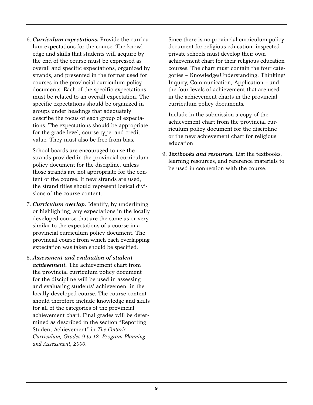6. *Curriculum expectations.* Provide the curriculum expectations for the course. The knowledge and skills that students will acquire by the end of the course must be expressed as overall and specific expectations, organized by strands, and presented in the format used for courses in the provincial curriculum policy documents. Each of the specific expectations must be related to an overall expectation. The specific expectations should be organized in groups under headings that adequately describe the focus of each group of expectations. The expectations should be appropriate for the grade level, course type, and credit value. They must also be free from bias.

School boards are encouraged to use the strands provided in the provincial curriculum policy document for the discipline, unless those strands are not appropriate for the content of the course. If new strands are used, the strand titles should represent logical divisions of the course content.

- 7. *Curriculum overlap.* Identify, by underlining or highlighting, any expectations in the locally developed course that are the same as or very similar to the expectations of a course in a provincial curriculum policy document. The provincial course from which each overlapping expectation was taken should be specified.
- 8. *Assessment and evaluation of student achievement.* The achievement chart from the provincial curriculum policy document for the discipline will be used in assessing and evaluating students' achievement in the locally developed course. The course content should therefore include knowledge and skills for all of the categories of the provincial achievement chart. Final grades will be determined as described in the section "Reporting Student Achievement" in *The Ontario Curriculum, Grades 9 to 12: Program Planning and Assessment, 2000*.

Since there is no provincial curriculum policy document for religious education, inspected private schools must develop their own achievement chart for their religious education courses. The chart must contain the four categories – Knowledge/Understanding, Thinking/ Inquiry, Communication, Application – and the four levels of achievement that are used in the achievement charts in the provincial curriculum policy documents.

Include in the submission a copy of the achievement chart from the provincial curriculum policy document for the discipline or the new achievement chart for religious education.

9. *Textbooks and resources.* List the textbooks, learning resources, and reference materials to be used in connection with the course.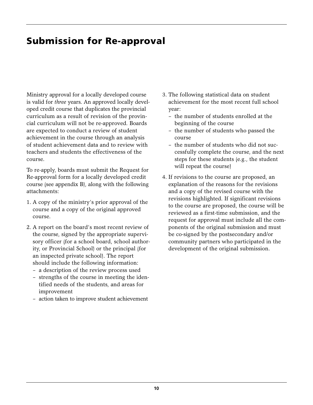# **Submission for Re-approval**

Ministry approval for a locally developed course is valid for *three* years. An approved locally developed credit course that duplicates the provincial curriculum as a result of revision of the provincial curriculum will not be re-approved. Boards are expected to conduct a review of student achievement in the course through an analysis of student achievement data and to review with teachers and students the effectiveness of the course.

To re-apply, boards must submit the Request for Re-approval form for a locally developed credit course (see appendix B), along with the following attachments:

- 1. A copy of the ministry's prior approval of the course and a copy of the original approved course.
- 2. A report on the board's most recent review of the course, signed by the appropriate supervisory officer (for a school board, school authority, or Provincial School) or the principal (for an inspected private school). The report should include the following information:
	- a description of the review process used
	- strengths of the course in meeting the identified needs of the students, and areas for improvement
	- action taken to improve student achievement
- 3. The following statistical data on student achievement for the most recent full school year:
	- the number of students enrolled at the beginning of the course
	- the number of students who passed the course
	- the number of students who did not successfully complete the course, and the next steps for these students (e.g., the student will repeat the course)
- 4. If revisions to the course are proposed, an explanation of the reasons for the revisions and a copy of the revised course with the revisions highlighted. If significant revisions to the course are proposed, the course will be reviewed as a first-time submission, and the request for approval must include all the components of the original submission and must be co-signed by the postsecondary and/or community partners who participated in the development of the original submission.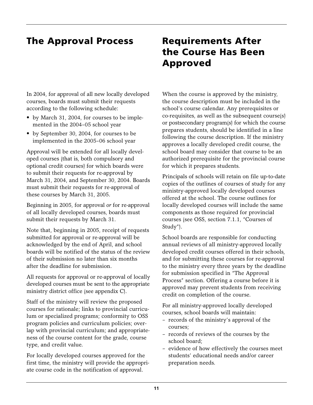# **The Approval Process Requirements After**

In 2004, for approval of all new locally developed courses, boards must submit their requests according to the following schedule:

- by March 31, 2004, for courses to be implemented in the 2004–05 school year
- by September 30, 2004, for courses to be implemented in the 2005–06 school year

Approval will be extended for all locally developed courses (that is, both compulsory and optional credit courses) for which boards were to submit their requests for re-approval by March 31, 2004, and September 30, 2004. Boards must submit their requests for re-approval of these courses by March 31, 2005.

Beginning in 2005, for approval *or* for re-approval of all locally developed courses, boards must submit their requests by March 31.

Note that, beginning in 2005, receipt of requests submitted for approval or re-approval will be acknowledged by the end of April, and school boards will be notified of the status of the review of their submission no later than six months after the deadline for submission.

All requests for approval or re-approval of locally developed courses must be sent to the appropriate ministry district office (see appendix C).

Staff of the ministry will review the proposed courses for rationale; links to provincial curriculum or specialized programs; conformity to OSS program policies and curriculum policies; overlap with provincial curriculum; and appropriateness of the course content for the grade, course type, and credit value.

For locally developed courses approved for the first time, the ministry will provide the appropriate course code in the notification of approval.

# **the Course Has Been Approved**

When the course is approved by the ministry, the course description must be included in the school's course calendar. Any prerequisites or co-requisites, as well as the subsequent course(s) or postsecondary program(s) for which the course prepares students, should be identified in a line following the course description. If the ministry approves a locally developed credit course, the school board may consider that course to be an authorized prerequisite for the provincial course for which it prepares students.

Principals of schools will retain on file up-to-date copies of the outlines of courses of study for any ministry-approved locally developed courses offered at the school. The course outlines for locally developed courses will include the same components as those required for provincial courses (see OSS, section 7.1.1, "Courses of Study").

School boards are responsible for conducting annual reviews of all ministry-approved locally developed credit courses offered in their schools, and for submitting these courses for re-approval to the ministry every three years by the deadline for submission specified in "The Approval Process" section. Offering a course before it is approved may prevent students from receiving credit on completion of the course.

For all ministry-approved locally developed courses, school boards will maintain:

- records of the ministry's approval of the courses;
- records of reviews of the courses by the school board;
- evidence of how effectively the courses meet students' educational needs and/or career preparation needs.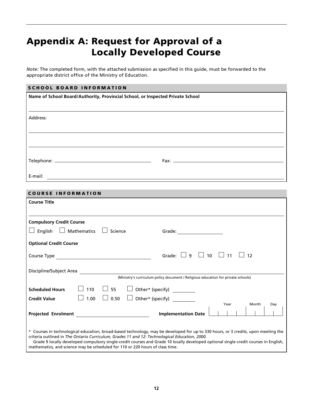# **Appendix A: Request for Approval of a Locally Developed Course**

*Note:* The completed form, with the attached submission as specified in this guide, must be forwarded to the appropriate district office of the Ministry of Education.

#### **SCHOOL BOARD INFORMATION**

| Name of School Board/Authority, Provincial School, or Inspected Private School |  |  |  |
|--------------------------------------------------------------------------------|--|--|--|
|                                                                                |  |  |  |
| Address:                                                                       |  |  |  |
|                                                                                |  |  |  |
|                                                                                |  |  |  |
|                                                                                |  |  |  |
|                                                                                |  |  |  |
|                                                                                |  |  |  |
| E-mail:<br><u> 1980 - Jan Alexandri, fizikar matematika (h. 1980).</u>         |  |  |  |

#### **COURSE INFORMATION**

| <b>Course Title</b>                                                                                                                                                                                                                                                                                                                                                                                                                                          |
|--------------------------------------------------------------------------------------------------------------------------------------------------------------------------------------------------------------------------------------------------------------------------------------------------------------------------------------------------------------------------------------------------------------------------------------------------------------|
|                                                                                                                                                                                                                                                                                                                                                                                                                                                              |
| <b>Compulsory Credit Course</b>                                                                                                                                                                                                                                                                                                                                                                                                                              |
| English<br>Mathematics<br>Science<br>Grade: ________________                                                                                                                                                                                                                                                                                                                                                                                                 |
| <b>Optional Credit Course</b>                                                                                                                                                                                                                                                                                                                                                                                                                                |
| $10 \quad \Box$ 11<br>Grade: I<br>$\overline{9}$<br>$\mathbf{1}$<br>12<br>Course Type                                                                                                                                                                                                                                                                                                                                                                        |
| Discipline/Subject Area                                                                                                                                                                                                                                                                                                                                                                                                                                      |
| (Ministry's curriculum policy document / Religious education for private schools)                                                                                                                                                                                                                                                                                                                                                                            |
| 110<br>Other* (specify) _________<br><b>Scheduled Hours</b><br>-55                                                                                                                                                                                                                                                                                                                                                                                           |
| Other* (specify)<br>0.50<br>1.00<br><b>Credit Value</b>                                                                                                                                                                                                                                                                                                                                                                                                      |
| Year<br>Month<br>Day                                                                                                                                                                                                                                                                                                                                                                                                                                         |
| <b>Projected Enrolment Example 2018</b><br><b>Implementation Date</b>                                                                                                                                                                                                                                                                                                                                                                                        |
|                                                                                                                                                                                                                                                                                                                                                                                                                                                              |
| * Courses in technological education, broad-based technology, may be developed for up to 330 hours, or 3 credits, upon meeting the<br>criteria outlined in The Ontario Curriculum, Grades 11 and 12: Technological Education, 2000.<br>Grade 9 locally developed compulsory single-credit courses and Grade 10 locally developed optional single-credit courses in English,<br>mathematics, and science may be scheduled for 110 or 220 hours of class time. |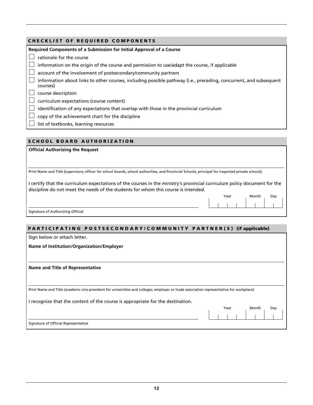#### **CHECKLIST OF REQUIRED COMPONENTS**

| Required Components of a Submission for Initial Approval of a Course                                                          |
|-------------------------------------------------------------------------------------------------------------------------------|
| rationale for the course                                                                                                      |
| information on the origin of the course and permission to use/adapt the course, if applicable                                 |
| account of the involvement of postsecondary/community partners                                                                |
| information about links to other courses, including possible pathway (i.e., preceding, concurrent, and subsequent<br>courses) |
| course description                                                                                                            |
| curriculum expectations (course content)                                                                                      |
| identification of any expectations that overlap with those in the provincial curriculum                                       |
| copy of the achievement chart for the discipline                                                                              |
| list of textbooks, learning resources                                                                                         |

#### **SCHOOL BOARD AUTHORIZATION**

**Official Authorizing the Request**

Print Name and Title (supervisory officer for school boards, school authorities, and Provincial Schools; principal for inspected private schools)

I certify that the curriculum expectations of the courses in the ministry's provincial curriculum policy document for the discipline do not meet the needs of the students for whom this course is intended.

| Year |  | Day |  |  |  |
|------|--|-----|--|--|--|
|      |  |     |  |  |  |
|      |  |     |  |  |  |

Signature of Authorizing Official

#### **PARTICIPATING POSTSECONDARY/COMMUNITY PARTNER(S) (if applicable)**

Sign below or attach letter.

Signature of Official Representative

**Name of Institution/Organization/Employer**

**Name and Title of Representative**

Print Name and Title (academic vice-president for universities and colleges; employer or trade association representative for workplace)

I recognize that the content of the course is appropriate for the destination.

| ucsunauvn. | Year |  |  | Month | Day |  |
|------------|------|--|--|-------|-----|--|
|            |      |  |  |       |     |  |
|            |      |  |  |       |     |  |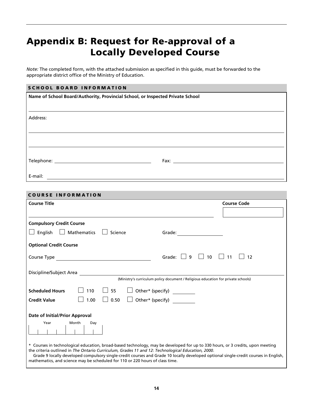# **Appendix B: Request for Re-approval of a Locally Developed Course**

*Note:* The completed form, with the attached submission as specified in this guide, must be forwarded to the appropriate district office of the Ministry of Education.

### **SCHOOL BOARD INFORMATION**

| Name of School Board/Authority, Provincial School, or Inspected Private School |  |  |  |
|--------------------------------------------------------------------------------|--|--|--|
|                                                                                |  |  |  |
| Address:                                                                       |  |  |  |
|                                                                                |  |  |  |
|                                                                                |  |  |  |
|                                                                                |  |  |  |
|                                                                                |  |  |  |
|                                                                                |  |  |  |

#### **COURSE INFORMATION**

| <b>Course Title</b>                                                                                                                                                                                                                 | <b>Course Code</b>                                |
|-------------------------------------------------------------------------------------------------------------------------------------------------------------------------------------------------------------------------------------|---------------------------------------------------|
|                                                                                                                                                                                                                                     |                                                   |
| <b>Compulsory Credit Course</b>                                                                                                                                                                                                     |                                                   |
| $\Box$ English $\Box$ Mathematics $\Box$ Science                                                                                                                                                                                    |                                                   |
| <b>Optional Credit Course</b>                                                                                                                                                                                                       |                                                   |
| Course Type <b>Course Type</b>                                                                                                                                                                                                      | Grade: $\Box$ 9 $\Box$ 10 $\Box$ 11<br>$\vert$ 12 |
| Discipline/Subject Area                                                                                                                                                                                                             |                                                   |
| (Ministry's curriculum policy document / Religious education for private schools)                                                                                                                                                   |                                                   |
| $\Box$ Other* (specify) _________<br>110<br>$\Box$ 55<br><b>Scheduled Hours</b>                                                                                                                                                     |                                                   |
| $\Box$ Other* (specify)<br>$\Box$ 0.50<br>1.00<br><b>Credit Value</b>                                                                                                                                                               |                                                   |
| <b>Date of Initial/Prior Approval</b>                                                                                                                                                                                               |                                                   |
| Year<br>Month<br>Day                                                                                                                                                                                                                |                                                   |
|                                                                                                                                                                                                                                     |                                                   |
| * Courses in technological education, broad-based technology, may be developed for up to 330 hours, or 3 credits, upon meeting<br>the criteria outlined in The Ontario Curriculum, Grades 11 and 12: Technological Education, 2000. |                                                   |
| Grade 9 locally developed compulsory single-credit courses and Grade 10 locally developed optional single-credit courses in English,<br>mathematics, and science may be scheduled for 110 or 220 hours of class time.               |                                                   |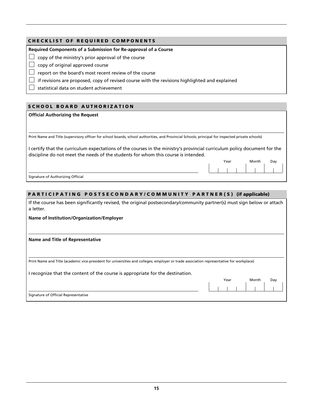#### **CHECKLIST OF REQUIRED COMPONENTS**

**Required Components of a Submission for Re-approval of a Course**

 $\Box$  copy of the ministry's prior approval of the course

 $\Box$  copy of original approved course

 $\Box$  report on the board's most recent review of the course

 $\Box$  if revisions are proposed, copy of revised course with the revisions highlighted and explained

 $\Box$  statistical data on student achievement

#### **SCHOOL BOARD AUTHORIZATION**

#### **Official Authorizing the Request**

Print Name and Title (supervisory officer for school boards, school authorities, and Provincial Schools; principal for inspected private schools)

I certify that the curriculum expectations of the courses in the ministry's provincial curriculum policy document for the discipline do not meet the needs of the students for whom this course is intended.

Year Month Day

Signature of Authorizing Official

#### **PARTICIPATING POSTSECONDARY/COMMUNITY PARTNER(S) (if applicable)**

If the course has been significantly revised, the original postsecondary/community partner(s) must sign below or attach a letter.

**Name of Institution/Organization/Employer**

#### **Name and Title of Representative**

Print Name and Title (academic vice-president for universities and colleges; employer or trade association representative for workplace)

I recognize that the content of the course is appropriate for the destination.

|                                      | Year |  |  | Month |  | Day |  |  |
|--------------------------------------|------|--|--|-------|--|-----|--|--|
|                                      |      |  |  |       |  |     |  |  |
| Signature of Official Representative |      |  |  |       |  |     |  |  |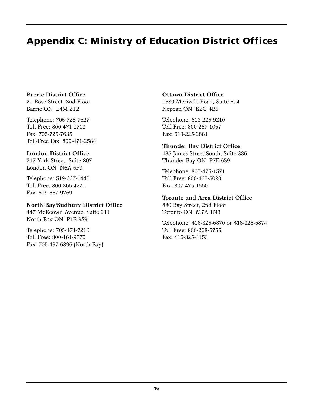# **Appendix C: Ministry of Education District Offices**

### **Barrie District Office**

20 Rose Street, 2nd Floor Barrie ON L4M 2T2

Telephone: 705-725-7627 Toll Free: 800-471-0713 Fax: 705-725-7635 Toll-Free Fax: 800-471-2584

### **London District Office**

217 York Street, Suite 207 London ON N6A 5P9

Telephone: 519-667-1440 Toll Free: 800-265-4221 Fax: 519-667-9769

### **North Bay/Sudbury District Office**

447 McKeown Avenue, Suite 211 North Bay ON P1B 9S9

Telephone: 705-474-7210 Toll Free: 800-461-9570 Fax: 705-497-6896 (North Bay)

### **Ottawa District Office**

1580 Merivale Road, Suite 504 Nepean ON K2G 4B5

Telephone: 613-225-9210 Toll Free: 800-267-1067 Fax: 613-225-2881

### **Thunder Bay District Office**

435 James Street South, Suite 336 Thunder Bay ON P7E 6S9

Telephone: 807-475-1571 Toll Free: 800-465-5020 Fax: 807-475-1550

### **Toronto and Area District Office**

880 Bay Street, 2nd Floor Toronto ON M7A 1N3

Telephone: 416-325-6870 or 416-325-6874 Toll Free: 800-268-5755 Fax: 416-325-4153